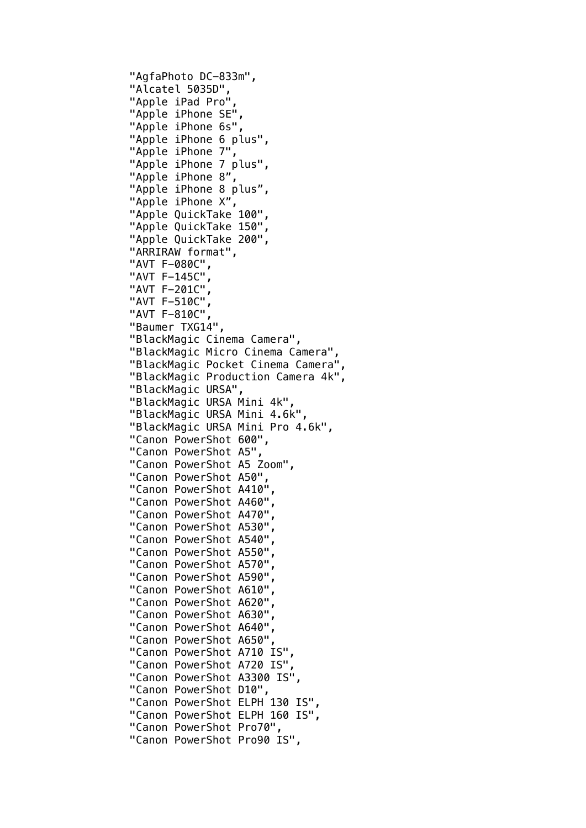```
"AgfaPhoto DC-833m",
"Alcatel 5035D",
"Apple iPad Pro"
"Apple iPhone SE",
"Apple iPhone 6s",
"Apple iPhone 6 plus",
"Apple iPhone 7",
"Apple iPhone 7 plus",
"Apple iPhone 8",
"Apple iPhone 8 plus",
"Apple iPhone X",
"Apple QuickTake 100",
"Apple QuickTake 150",
"Apple QuickTake 200",
"ARRIRAW format",
"AVT F-080C",
"AVT F-145C",
"AVT F-201C"
"AVT F-510C",
"AVT F-810C",
"Baumer TXG14",
"BlackMagic Cinema Camera",
"BlackMagic Micro Cinema Camera",
"BlackMagic Pocket Cinema Camera",
"BlackMagic Production Camera 4k",
"BlackMagic URSA",
"BlackMagic URSA Mini 4k",
"BlackMagic URSA Mini 4.6k",
"BlackMagic URSA Mini Pro 4.6k",
"Canon PowerShot 600",
"Canon PowerShot A5",
"Canon PowerShot A5 Zoom",
"Canon PowerShot A50",
"Canon PowerShot A410"
"Canon PowerShot A460",
"Canon PowerShot A470",
"Canon PowerShot A530",
"Canon PowerShot A540"
"Canon PowerShot A550",
"Canon PowerShot A570",
"Canon PowerShot A590",
"Canon PowerShot A610",
"Canon PowerShot A620",
"Canon PowerShot A630",
"Canon PowerShot A640"
"Canon PowerShot A650",
"Canon PowerShot A710 IS",
"Canon PowerShot A720 IS"
"Canon PowerShot A3300 IS",
"Canon PowerShot D10",
"Canon PowerShot ELPH 130 IS",
"Canon PowerShot ELPH 160 IS",
"Canon PowerShot Pro70",
"Canon PowerShot Pro90 IS",
```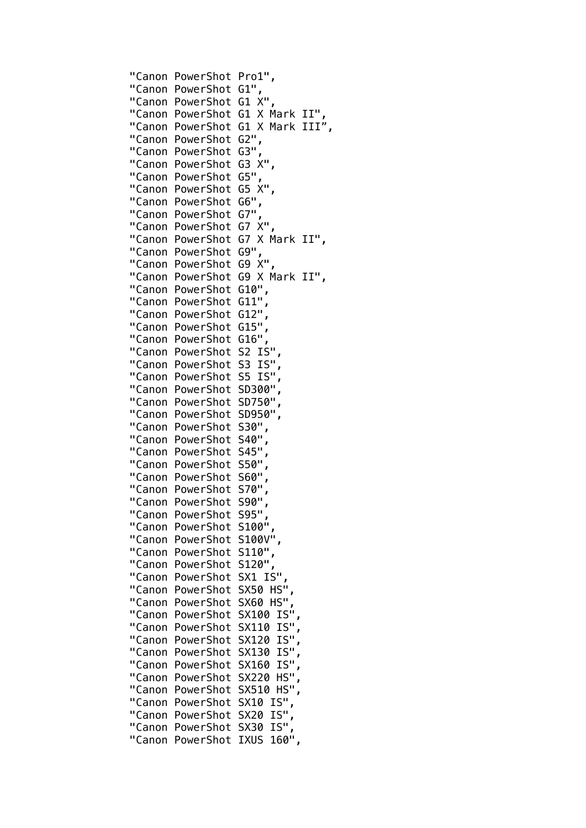"Canon PowerShot Pro1", "Canon PowerShot G1", "Canon PowerShot G1 X", "Canon PowerShot G1 X Mark II", "Canon PowerShot G1 X Mark III' "Canon PowerShot G2", "Canon PowerShot G3", "Canon PowerShot G3 X", "Canon PowerShot G5", "Canon PowerShot G5 X", "Canon PowerShot G6", "Canon PowerShot G7", "Canon PowerShot G7 X", "Canon PowerShot G7 X Mark II", "Canon PowerShot G9", "Canon PowerShot G9 X" "Canon PowerShot G9 X Mark II", "Canon PowerShot G10", "Canon PowerShot G11", "Canon PowerShot G12", "Canon PowerShot G15", "Canon PowerShot G16" "Canon PowerShot S2 IS", "Canon PowerShot S3 IS", "Canon PowerShot S5 IS", "Canon PowerShot SD300", "Canon PowerShot SD750", "Canon PowerShot SD950", "Canon PowerShot S30", "Canon PowerShot S40", "Canon PowerShot S45" "Canon PowerShot S50", "Canon PowerShot S60", "Canon PowerShot S70" "Canon PowerShot S90", "Canon PowerShot S95", "Canon PowerShot S100", "Canon PowerShot S100V", "Canon PowerShot S110", "Canon PowerShot S120" "Canon PowerShot SX1 IS" "Canon PowerShot SX50 HS" "Canon PowerShot SX60 HS", "Canon PowerShot SX100 IS", "Canon PowerShot SX110 IS" "Canon PowerShot SX120 IS", "Canon PowerShot SX130 IS", "Canon PowerShot SX160 IS" "Canon PowerShot SX220 HS" "Canon PowerShot SX510 HS", "Canon PowerShot SX10 IS", "Canon PowerShot SX20 IS", "Canon PowerShot SX30 IS" "Canon PowerShot IXUS 160",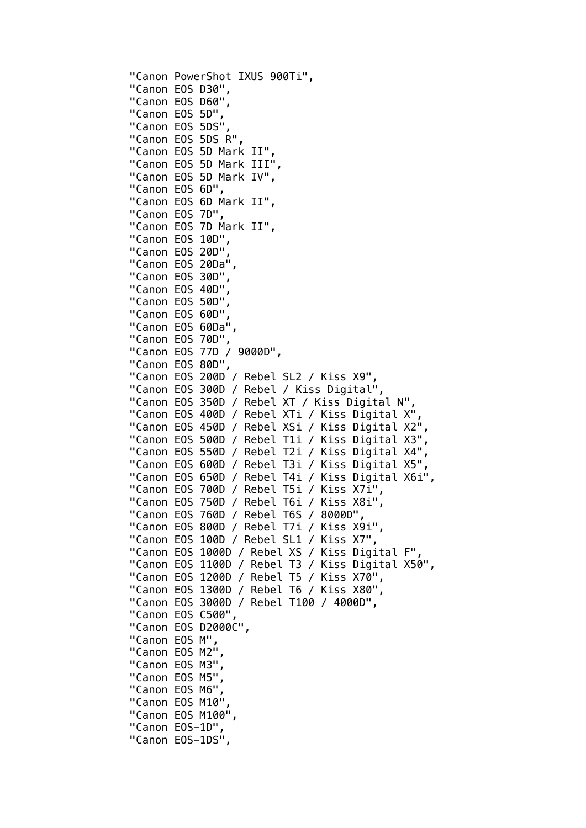```
"Canon PowerShot IXUS 900Ti",
"Canon EOS D30",
"Canon EOS D60",
"Canon EOS 5D",
"Canon EOS 5DS"
"Canon EOS 5DS R",
"Canon EOS 5D Mark II",
"Canon EOS 5D Mark III",
"Canon EOS 5D Mark IV",
"Canon EOS 6D",
"Canon EOS 6D Mark II",
"Canon EOS 7D",
"Canon EOS 7D Mark II",
"Canon EOS 10D",
"Canon EOS 20D",
"Canon EOS 20Da",
"Canon EOS 30D",
"Canon EOS 40D",
"Canon EOS 50D",
"Canon EOS 60D",
"Canon EOS 60Da",
"Canon EOS 70D",
"Canon EOS 77D / 9000D",
"Canon EOS 80D",
"Canon EOS 200D / Rebel SL2 / Kiss X9"
"Canon EOS 300D / Rebel / Kiss Digital",
"Canon EOS 350D / Rebel XT / Kiss Digital N",
"Canon EOS 400D / Rebel XTi / Kiss Digital X"
"Canon EOS 450D / Rebel XSi / Kiss Digital X2",
"Canon EOS 500D / Rebel T1i / Kiss Digital X3"
"Canon EOS 550D / Rebel T2i / Kiss Digital X4"
"Canon EOS 600D / Rebel T3i / Kiss Digital X5",
"Canon EOS 650D / Rebel T4i / Kiss Digital X6i",
"Canon EOS 700D / Rebel T5i / Kiss X7i",
"Canon EOS 750D / Rebel T6i / Kiss X8i",
"Canon EOS 760D / Rebel T6S / 8000D",
"Canon EOS 800D / Rebel T7i / Kiss X9i",
"Canon EOS 100D / Rebel SL1 / Kiss X7",
"Canon EOS 1000D / Rebel XS / Kiss Digital F"
"Canon EOS 1100D / Rebel T3 / Kiss Digital X50",
"Canon EOS 1200D / Rebel T5 / Kiss X70",
"Canon EOS 1300D / Rebel T6 / Kiss X80",
"Canon EOS 3000D / Rebel T100 / 4000D",
"Canon EOS C500",
"Canon EOS D2000C",
"Canon EOS M",
"Canon EOS M2",
"Canon EOS M3",
"Canon EOS M5",
"Canon EOS M6",
"Canon EOS M10",
"Canon EOS M100",
"Canon EOS-1D",
"Canon EOS-1DS",
```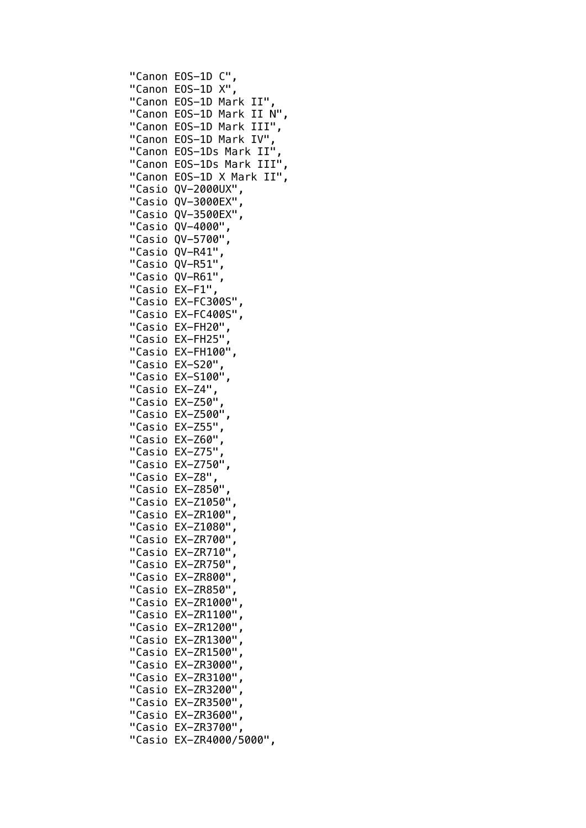"Canon EOS-1D C", "Canon EOS-1D X", "Canon EOS-1D Mark II", "Canon EOS-1D Mark II N", "Canon EOS-1D Mark III", "Canon EOS-1D Mark IV", "Canon EOS-1Ds Mark II", "Canon EOS-1Ds Mark III", "Canon EOS-1D X Mark II", "Casio QV-2000UX", "Casio QV-3000EX", "Casio QV-3500EX", "Casio QV-4000", "Casio QV-5700", "Casio QV-R41", "Casio QV-R51", "Casio QV-R61", "Casio EX-F1", "Casio EX-FC300S", "Casio EX-FC400S", "Casio EX-FH20", "Casio EX-FH25", "Casio EX-FH100", "Casio EX-S20", "Casio EX-S100", "Casio EX-Z4", "Casio EX-Z50", "Casio EX-Z500", "Casio EX-Z55", "Casio EX-Z60", "Casio EX-Z75", "Casio EX-Z750", "Casio EX-Z8", "Casio EX-Z850", "Casio EX-Z1050", "Casio EX-ZR100", "Casio EX-Z1080", "Casio EX-ZR700", "Casio EX-ZR710", "Casio EX-ZR750", "Casio EX-ZR800", "Casio EX-ZR850", "Casio EX-ZR1000", "Casio EX-ZR1100", "Casio EX-ZR1200", "Casio EX-ZR1300", "Casio EX-ZR1500", "Casio EX-ZR3000", "Casio EX-ZR3100", "Casio EX-ZR3200", "Casio EX-ZR3500", "Casio EX-ZR3600", "Casio EX-ZR3700", "Casio EX-ZR4000/5000",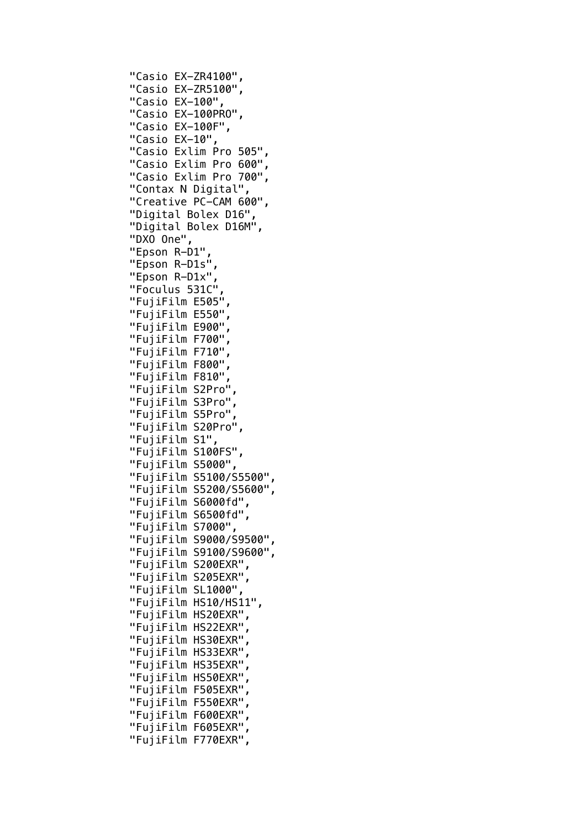"Casio EX-ZR4100", "Casio EX-ZR5100", "Casio EX-100", "Casio EX-100PRO", "Casio EX-100F", "Casio EX-10", "Casio Exlim Pro 505", "Casio Exlim Pro 600", "Casio Exlim Pro 700", "Contax N Digital", "Creative PC-CAM 600", "Digital Bolex D16", "Digital Bolex D16M", "DXO One", "Epson R-D1", "Epson R-D1s", "Epson R-D1x", "Foculus 531C", "FujiFilm E505", "FujiFilm E550", "FujiFilm E900", "FujiFilm F700", "FujiFilm F710", "FujiFilm F800", "FujiFilm F810", "FujiFilm S2Pro", "FujiFilm S3Pro", "FujiFilm S5Pro", "FujiFilm S20Pro", "FujiFilm S1", "FujiFilm S100FS", "FujiFilm S5000", "FujiFilm S5100/S5500", "FujiFilm S5200/S5600", "FujiFilm S6000fd", "FujiFilm S6500fd", "FujiFilm S7000", "FujiFilm S9000/S9500", "FujiFilm S9100/S9600", "FujiFilm S200EXR", "FujiFilm S205EXR", "FujiFilm SL1000", "FujiFilm HS10/HS11", "FujiFilm HS20EXR", "FujiFilm HS22EXR", "FujiFilm HS30EXR", "FujiFilm HS33EXR", "FujiFilm HS35EXR", "FujiFilm HS50EXR", "FujiFilm F505EXR", "FujiFilm F550EXR", "FujiFilm F600EXR", "FujiFilm F605EXR", "FujiFilm F770EXR",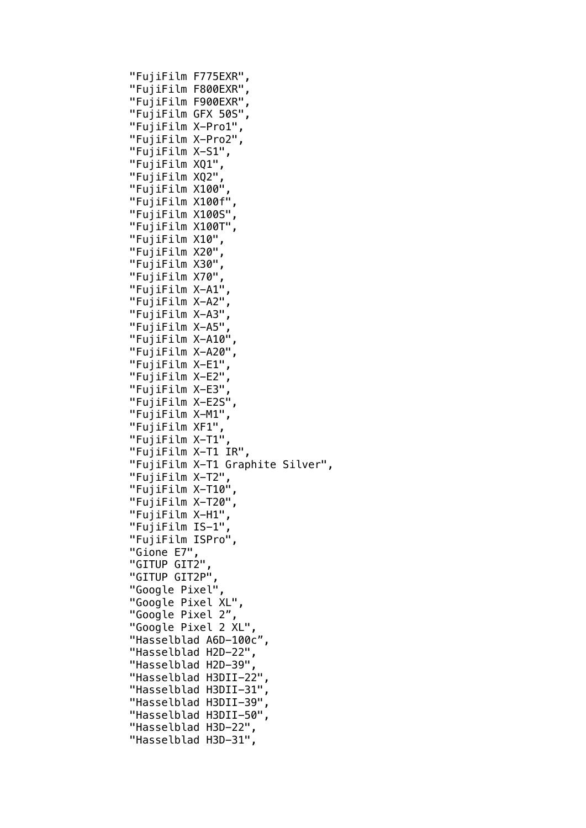```
"FujiFilm F775EXR",
"FujiFilm F800EXR",
"FujiFilm F900EXR",
"FujiFilm GFX 50S",
"FujiFilm X-Pro1",
"FujiFilm X-Pro2",
"FujiFilm X-S1",
"FujiFilm XQ1",
"FujiFilm XQ2",
"FujiFilm X100",
"FujiFilm X100f",
"FujiFilm X100S",
"FujiFilm X100T",
"FujiFilm X10",
"FujiFilm X20",
"FujiFilm X30",
"FujiFilm X70",
"FujiFilm X-A1",
"FujiFilm X-A2",
"FujiFilm X-A3",
"FujiFilm X-A5",
"FujiFilm X-A10",
"FujiFilm X-A20",
"FujiFilm X-E1",
"FujiFilm X-E2",
"FujiFilm X-E3",
"FujiFilm X-E2S",
"FujiFilm X-M1",
"FujiFilm XF1",
"FujiFilm X-T1",
"FujiFilm X-T1 IR",
"FujiFilm X-T1 Graphite Silver",
"FujiFilm X-T2",
"FujiFilm X-T10",
"FujiFilm X-T20",
"FujiFilm X-H1",
"FujiFilm IS-1",
"FujiFilm ISPro",
"Gione E7",
"GITUP GIT2",
"GITUP GIT2P",
"Google Pixel",
"Google Pixel XL",
"Google Pixel 2",
"Google Pixel 2 XL",
"Hasselblad A6D-100c",
"Hasselblad H2D-22",
"Hasselblad H2D-39",
"Hasselblad H3DII-22",
"Hasselblad H3DII-31",
"Hasselblad H3DII-39",
"Hasselblad H3DII-50",
"Hasselblad H3D-22",
"Hasselblad H3D-31",
```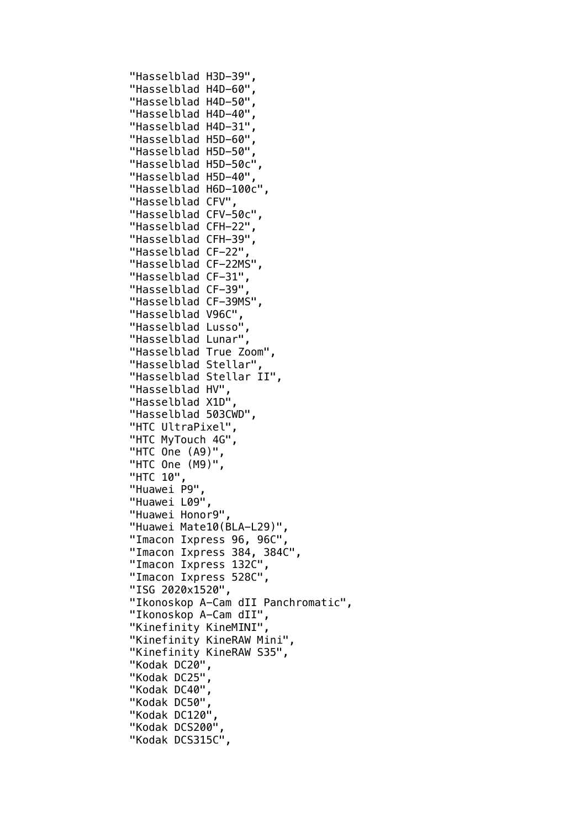```
"Hasselblad H3D-39",
"Hasselblad H4D-60",
"Hasselblad H4D-50",
"Hasselblad H4D-40",
"Hasselblad H4D-31",
"Hasselblad H5D-60",
"Hasselblad H5D-50",
"Hasselblad H5D-50c",
"Hasselblad H5D-40",
"Hasselblad H6D-100c",
"Hasselblad CFV",
"Hasselblad CFV-50c",
"Hasselblad CFH-22",
"Hasselblad CFH-39",
"Hasselblad CF-22",
"Hasselblad CF-22MS",
"Hasselblad CF-31",
"Hasselblad CF-39",
"Hasselblad CF-39MS",
"Hasselblad V96C",
"Hasselblad Lusso",
"Hasselblad Lunar",
"Hasselblad True Zoom",
"Hasselblad Stellar",
"Hasselblad Stellar II",
"Hasselblad HV",
"Hasselblad X1D",
"Hasselblad 503CWD",
"HTC UltraPixel",
"HTC MyTouch 4G",
"HTC One (A9)",
"HTC One (M9)",
"HTC 10",
"Huawei P9"
"Huawei L09",
"Huawei Honor9",
"Huawei Mate10(BLA-L29)",
"Imacon Ixpress 96, 96C"
"Imacon Ixpress 384, 384C",
"Imacon Ixpress 132C",
"Imacon Ixpress 528C",
"ISG 2020x1520",
"Ikonoskop A-Cam dII Panchromatic",
"Ikonoskop A-Cam dII",
"Kinefinity KineMINI",
"Kinefinity KineRAW Mini",
"Kinefinity KineRAW S35",
"Kodak DC20",
"Kodak DC25",
"Kodak DC40",
"Kodak DC50",
"Kodak DC120",
"Kodak DCS200",
"Kodak DCS315C",
```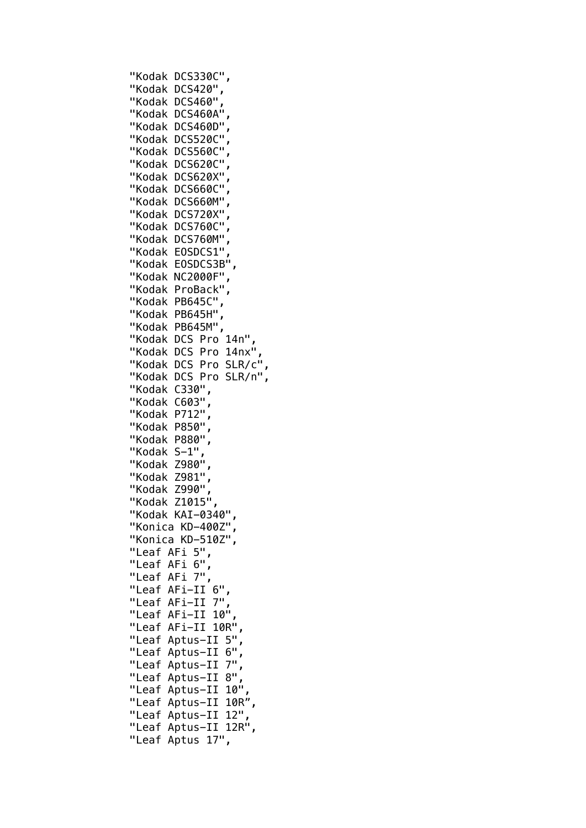"Kodak DCS330C", "Kodak DCS420", "Kodak DCS460", "Kodak DCS460A", "Kodak DCS460D", "Kodak DCS520C", "Kodak DCS560C", "Kodak DCS620C", "Kodak DCS620X", "Kodak DCS660C", "Kodak DCS660M", "Kodak DCS720X" "Kodak DCS760C", "Kodak DCS760M" "Kodak EOSDCS1", "Kodak EOSDCS3B", "Kodak NC2000F", "Kodak ProBack", "Kodak PB645C", "Kodak PB645H", "Kodak PB645M", "Kodak DCS Pro 14n", "Kodak DCS Pro 14nx" "Kodak DCS Pro SLR/c", "Kodak DCS Pro SLR/n", "Kodak C330", "Kodak C603" "Kodak P712", "Kodak P850", "Kodak P880", "Kodak S-1", "Kodak Z980", "Kodak Z981", "Kodak Z990", "Kodak Z1015", "Kodak KAI-0340", "Konica KD-400Z", "Konica KD-510Z", "Leaf AFi 5", "Leaf AFi 6", "Leaf AFi 7", "Leaf AFi-II 6", "Leaf AFi-II 7", "Leaf AFi-II 10" "Leaf AFi-II 10R", "Leaf Aptus-II 5" "Leaf Aptus-II 6", "Leaf Aptus-II 7" "Leaf Aptus-II 8", "Leaf Aptus-II 10", "Leaf Aptus-II 10R", "Leaf Aptus-II 12", "Leaf Aptus-II 12R", "Leaf Aptus 17",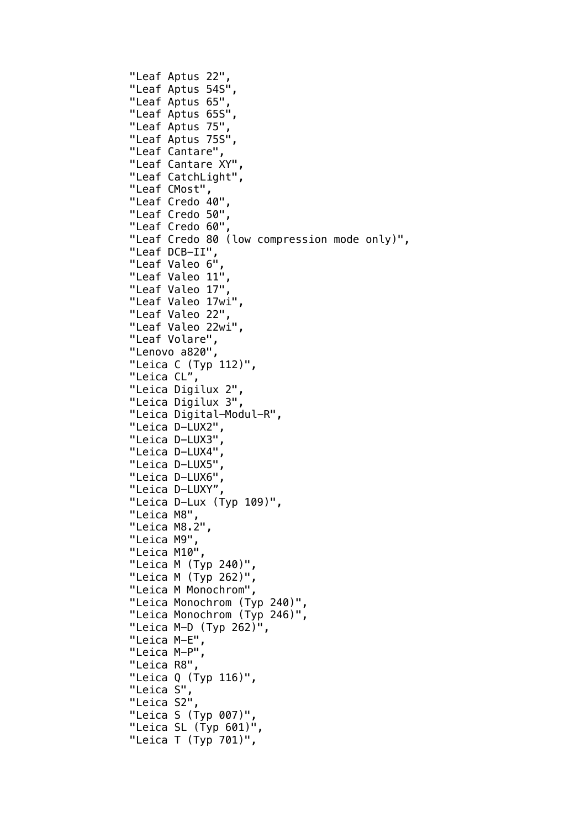```
"Leaf Aptus 22",
"Leaf Aptus 54S",
"Leaf Aptus 65",
"Leaf Aptus 65S",
"Leaf Aptus 75",
"Leaf Aptus 75S",
"Leaf Cantare",
"Leaf Cantare XY",
"Leaf CatchLight",
"Leaf CMost",
"Leaf Credo 40",
"Leaf Credo 50",
"Leaf Credo 60",
"Leaf Credo 80 (low compression mode only)",
"Leaf DCB-II",
"Leaf Valeo 6"
"Leaf Valeo 11",
"Leaf Valeo 17"
"Leaf Valeo 17wi",
"Leaf Valeo 22",
"Leaf Valeo 22wi",
"Leaf Volare",
"Lenovo a820",
"Leica C (Typ 112)",
"Leica CL",
"Leica Digilux 2",
"Leica Digilux 3",
"Leica Digital-Modul-R",
"Leica D-LUX2",
"Leica D-LUX3"
"Leica D-LUX4",
"Leica D-LUX5",
"Leica D-LUX6",
"Leica D-LUXY",
"Leica D-Lux (Typ 109)",
"Leica M8",
"Leica M8.2",
"Leica M9",
"Leica M10",
"Leica M (Typ 240)",
"Leica M (Typ 262)"
"Leica M Monochrom",
"Leica Monochrom (Typ 240)",
"Leica Monochrom (Typ 246)",
"Leica M-D (Typ 262)",
"Leica M-E",
"Leica M-P",
"Leica R8",
"Leica Q (Typ 116)",
"Leica S",
"Leica S2",
"Leica S (Typ 007)",
"Leica SL (Typ 601)",
"Leica T (Typ 701)",
```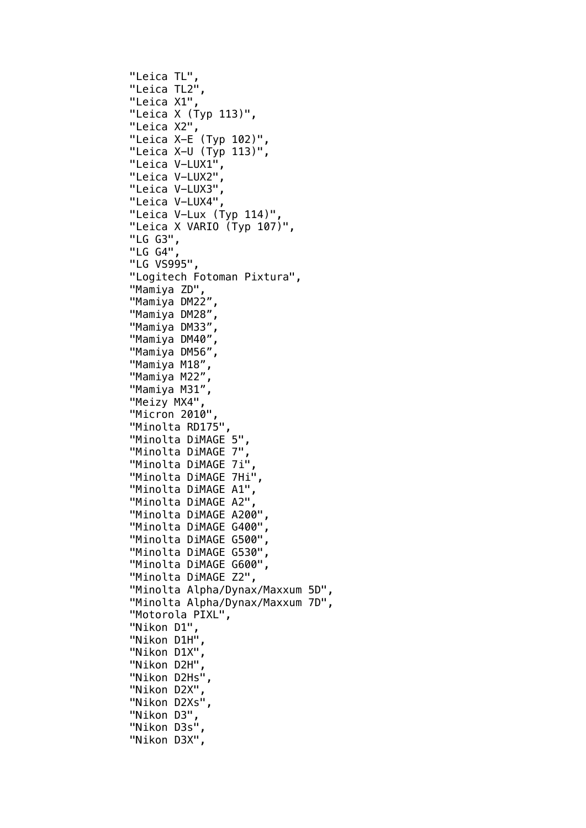```
"Leica TL",
"Leica TL2",
"Leica X1",
"Leica X (Typ 113)",
"Leica X2",
"Leica X-E (Typ 102)",
"Leica X-U (Typ 113)",
"Leica V-LUX1",
"Leica V-LUX2",
"Leica V-LUX3",
"Leica V-LUX4",
"Leica V-Lux (Typ 114)",
"Leica X VARIO (Typ 107)",
"LG G3",
"LG G4",
"LG VS995",
"Logitech Fotoman Pixtura",
"Mamiya ZD",
"Mamiya DM22",
"Mamiya DM28",
"Mamiya DM33",
"Mamiya DM40",
"Mamiya DM56",
"Mamiya M18",
"Mamiya M22",
"Mamiya M31",
"Meizy MX4",
"Micron 2010",
"Minolta RD175",
"Minolta DiMAGE 5",
"Minolta DiMAGE 7",
"Minolta DiMAGE 7i",
"Minolta DiMAGE 7Hi",
"Minolta DiMAGE A1",
"Minolta DiMAGE A2",
"Minolta DiMAGE A200",
"Minolta DiMAGE G400",
"Minolta DiMAGE G500",
"Minolta DiMAGE G530",
"Minolta DiMAGE G600",
"Minolta DiMAGE Z2",
"Minolta Alpha/Dynax/Maxxum 5D",
"Minolta Alpha/Dynax/Maxxum 7D",
"Motorola PIXL",
"Nikon D1"
"Nikon D1H",
"Nikon D1X",
"Nikon D2H",
"Nikon D2Hs",
"Nikon D2X"
"Nikon D2Xs",
"Nikon D3",
"Nikon D3s",
"Nikon D3X",
```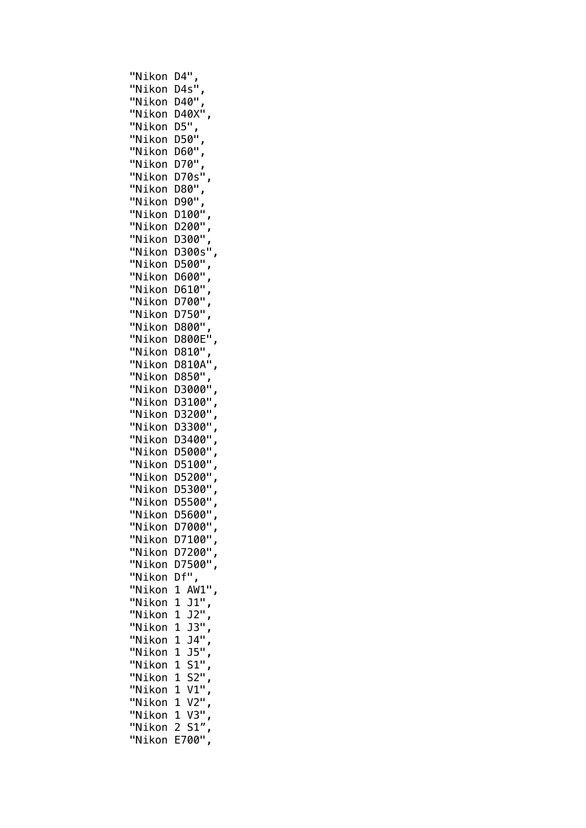| "Nikon | D4"                                |
|--------|------------------------------------|
| "Nikon | .<br>D4s"<br>r                     |
| "Nikon | D40"                               |
| "Nikon | D40X"                              |
| "Nikon | D5"                                |
| "Nikon | <b>D50"</b>                        |
| "Nikon | D60"                               |
| "Nikon | D70"                               |
| "Nikon | D70s                               |
| "Nikon | D80"                               |
| "Nikon | D90"                               |
| "Nikon | D100"                              |
| "Nikon | D200"                              |
| "Nikon | D300                               |
| "Nikon | D300s                              |
| "Nikon | D500                               |
| "Nikon | <b>D600'</b>                       |
| "Nikon | D610"                              |
| "Nikon | D700"                              |
|        |                                    |
| "Nikon | D750"                              |
| "Nikon | <b>D800"</b>                       |
| "Nikon | <b>D800E</b>                       |
| "Nikon | <b>D810"</b>                       |
| "Nikon | <b>D810A</b>                       |
| "Nikon | D850"                              |
| "Nikon | D3000"                             |
| "Nikon | D3100"                             |
| "Nikon | D3200"                             |
| "Nikon | D3300"                             |
| "Nikon | D3400"                             |
| "Nikon | <b>D5000</b>                       |
| "Nikon | D5100'                             |
| "Nikon | D5200                              |
| "Nikon | D5300                              |
| "Nikon | D5500"                             |
| "Nikon | D5600"<br>,                        |
| "Nikon | D7000"                             |
| "Nikon | D7100"<br>,                        |
| "Nikon | D7200"                             |
| "Nikon | D7500"                             |
| "Nikon | Df"                                |
| "Nikon | 1<br>AW1                           |
| "Nikon | $\mathbf 1$<br>J1"                 |
| "Nikon | I<br>J2"<br>1                      |
| "Nikon | I<br>ر<br>13'<br>-<br>1            |
| "Nikon | $\mathbf 1$<br>J4                  |
| "Nikon | ,<br>J5<br>$\mathbf 1$             |
| "Nikon | ,<br>$\mathbf 1$<br>S <sub>1</sub> |
| "Nikon | ,<br>$\mathbf 1$<br>S <sub>2</sub> |
| "Nikon | $\overline{1}$<br>V <sub>1</sub>   |
| "Nikon | ,<br>$\mathbf 1$<br>V <sub>2</sub> |
| "Nikon | ,<br>$\mathbf 1$<br>V3             |
|        | ,                                  |
| "Nikon | $\overline{c}$<br>$\sf S1$         |
| "Nikon | E700                               |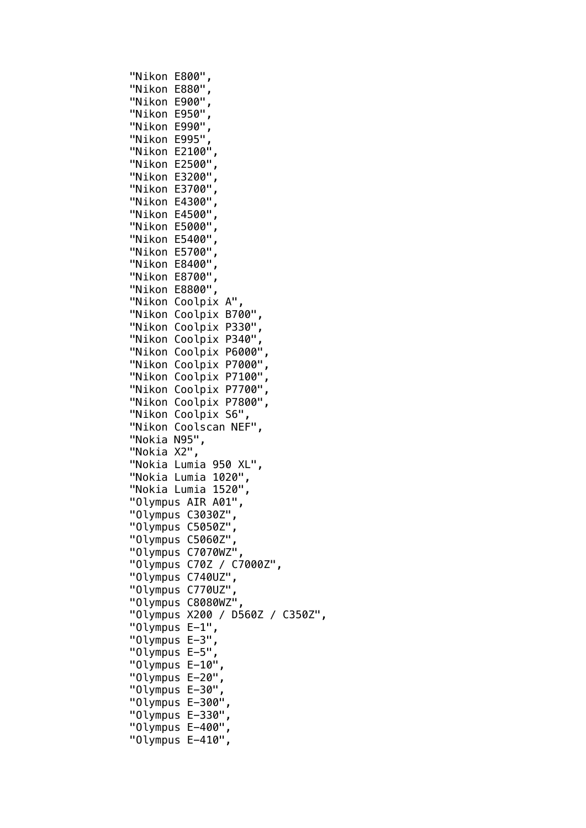"Nikon E800", "Nikon E880", "Nikon E900", "Nikon E950" "Nikon E990", "Nikon E995" "Nikon E2100", "Nikon E2500", "Nikon E3200", "Nikon E3700", "Nikon E4300" "Nikon E4500", "Nikon E5000", "Nikon E5400", "Nikon E5700" "Nikon E8400", "Nikon E8700", "Nikon E8800", "Nikon Coolpix A", "Nikon Coolpix B700", "Nikon Coolpix P330", "Nikon Coolpix P340", "Nikon Coolpix P6000" "Nikon Coolpix P7000", "Nikon Coolpix P7100", "Nikon Coolpix P7700", "Nikon Coolpix P7800", "Nikon Coolpix S6", "Nikon Coolscan NEF", "Nokia N95", "Nokia X2", "Nokia Lumia 950 XL", "Nokia Lumia 1020", "Nokia Lumia 1520", "Olympus AIR A01", "Olympus C3030Z", "Olympus C5050Z", "Olympus C5060Z", "Olympus C7070WZ", "Olympus C70Z / C7000Z", "Olympus C740UZ", "Olympus C770UZ", "Olympus C8080WZ", "Olympus X200 / D560Z / C350Z", "Olympus E-1", "Olympus E-3", "Olympus E-5", "Olympus E-10", "Olympus E-20", "Olympus E-30", "Olympus E-300", "Olympus E-330", "Olympus E-400", "Olympus E-410",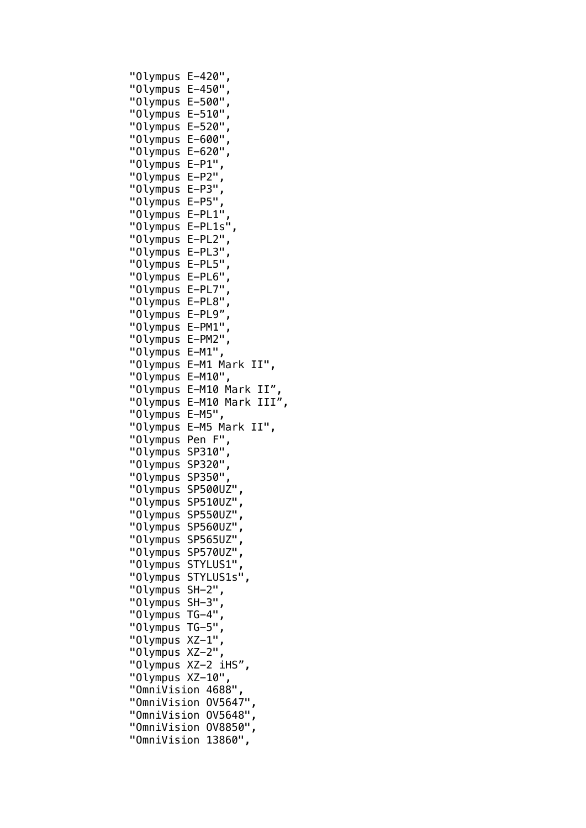```
"Olympus E-420",
"Olympus E-450",
"Olympus E-500",
"Olympus E-510",
"Olympus E-520",
"Olympus E-600",
"Olympus E-620",
"Olympus E-P1",
"Olympus E-P2",
"Olympus E-P3",
"Olympus E-P5",
"Olympus E-PL1",
"Olympus E-PL1s",
"Olympus E-PL2",
"Olympus E-PL3",
"Olympus E-PL5",
"Olympus E-PL6",
"Olympus E-PL7",
"Olympus E-PL8",
"Olympus E-PL9",
"Olympus E-PM1",
"Olympus E-PM2",
"Olympus E-M1",
"Olympus E-M1 Mark II",
"Olympus E-M10",
"Olympus E-M10 Mark II",
"Olympus E-M10 Mark III",
"Olympus E-M5",
"Olympus E-M5 Mark II",
"Olympus Pen F",
"Olympus SP310",
"Olympus SP320",
"Olympus SP350",
"Olympus SP500UZ",
"Olympus SP510UZ",
"Olympus SP550UZ",
"Olympus SP560UZ",
"Olympus SP565UZ",
"Olympus SP570UZ",
"Olympus STYLUS1",
"Olympus STYLUS1s",
"Olympus SH-2",
"Olympus SH-3",
"Olympus TG-4",
"Olympus TG-5",
"Olympus XZ-1",
"Olympus XZ-2",
"Olympus XZ-2 iHS",
"Olympus XZ-10",
"OmniVision 4688",
"OmniVision OV5647",
"OmniVision OV5648",
"OmniVision OV8850",
"OmniVision 13860",
```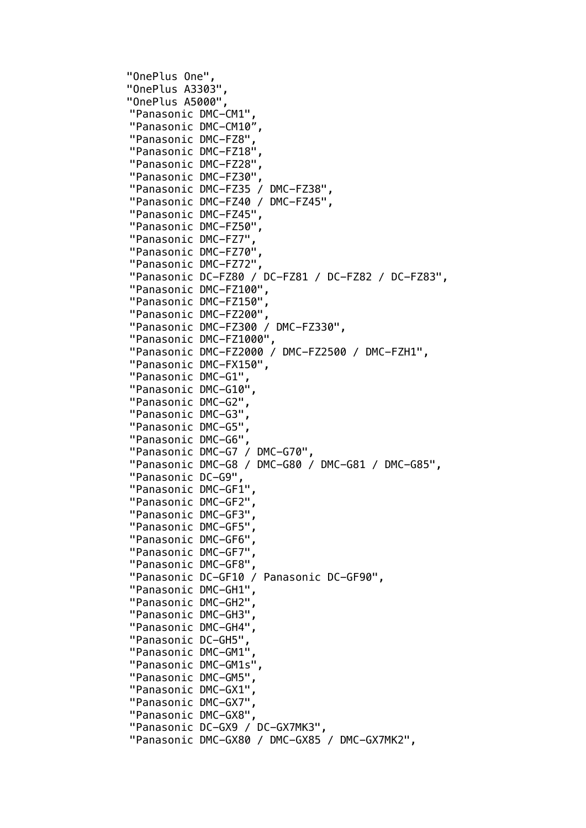"OnePlus One", "OnePlus A3303", "OnePlus A5000", "Panasonic DMC-CM1", "Panasonic DMC-CM10", "Panasonic DMC-FZ8", "Panasonic DMC-FZ18", "Panasonic DMC-FZ28", "Panasonic DMC-FZ30", "Panasonic DMC-FZ35 / DMC-FZ38", "Panasonic DMC-FZ40 / DMC-FZ45", "Panasonic DMC-FZ45", "Panasonic DMC-FZ50", "Panasonic DMC-FZ7", "Panasonic DMC-FZ70", "Panasonic DMC-FZ72", "Panasonic DC-FZ80 / DC-FZ81 / DC-FZ82 / DC-FZ83", "Panasonic DMC-FZ100", "Panasonic DMC-FZ150", "Panasonic DMC-FZ200", "Panasonic DMC-FZ300 / DMC-FZ330", "Panasonic DMC-FZ1000", "Panasonic DMC-FZ2000 / DMC-FZ2500 / DMC-FZH1", "Panasonic DMC-FX150", "Panasonic DMC-G1", "Panasonic DMC-G10", "Panasonic DMC-G2", "Panasonic DMC-G3", "Panasonic DMC-G5", "Panasonic DMC-G6", "Panasonic DMC-G7 / DMC-G70", "Panasonic DMC-G8 / DMC-G80 / DMC-G81 / DMC-G85", "Panasonic DC-G9", "Panasonic DMC-GF1" "Panasonic DMC-GF2", "Panasonic DMC-GF3", "Panasonic DMC-GF5", "Panasonic DMC-GF6", "Panasonic DMC-GF7", "Panasonic DMC-GF8", "Panasonic DC-GF10 / Panasonic DC-GF90", "Panasonic DMC-GH1", "Panasonic DMC-GH2", "Panasonic DMC-GH3", "Panasonic DMC-GH4", "Panasonic DC-GH5", "Panasonic DMC-GM1", "Panasonic DMC-GM1s", "Panasonic DMC-GM5", "Panasonic DMC-GX1", "Panasonic DMC-GX7", "Panasonic DMC-GX8", "Panasonic DC-GX9 / DC-GX7MK3", "Panasonic DMC-GX80 / DMC-GX85 / DMC-GX7MK2",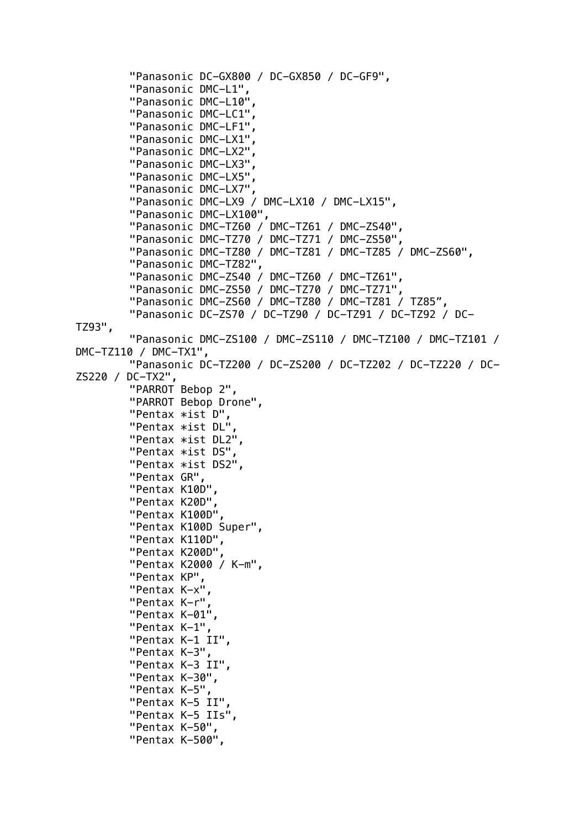```
"Panasonic DC-GX800 / DC-GX850 / DC-GF9",
         "Panasonic DMC-L1",
         "Panasonic DMC-L10",
         "Panasonic DMC-LC1",
         "Panasonic DMC-LF1",
         "Panasonic DMC-LX1",
         "Panasonic DMC-LX2",
         "Panasonic DMC-LX3",
         "Panasonic DMC-LX5",
         "Panasonic DMC-LX7",
         "Panasonic DMC-LX9 / DMC-LX10 / DMC-LX15",
         "Panasonic DMC-LX100",
         "Panasonic DMC-TZ60 / DMC-TZ61 / DMC-ZS40",
         "Panasonic DMC-TZ70 / DMC-TZ71 / DMC-ZS50",
         "Panasonic DMC-TZ80 / DMC-TZ81 / DMC-TZ85 / DMC-ZS60",
         "Panasonic DMC-TZ82",
         "Panasonic DMC-ZS40 / DMC-TZ60 / DMC-TZ61",
         "Panasonic DMC-ZS50 / DMC-TZ70 / DMC-TZ71",
         "Panasonic DMC-ZS60 / DMC-TZ80 / DMC-TZ81 / TZ85",
         "Panasonic DC-ZS70 / DC-TZ90 / DC-TZ91 / DC-TZ92 / DC-
TZ93",
         "Panasonic DMC-ZS100 / DMC-ZS110 / DMC-TZ100 / DMC-TZ101 / 
DMC-TZ110 / DMC-TX1",
         "Panasonic DC-TZ200 / DC-ZS200 / DC-TZ202 / DC-TZ220 / DC-
ZS220 / DC-TX2",
         "PARROT Bebop 2",
         "PARROT Bebop Drone",
         "Pentax *ist D",
         "Pentax *ist DL",
         "Pentax *ist DL2",
         "Pentax *ist DS",
         "Pentax *ist DS2",
         "Pentax GR",
         "Pentax K10D",
         "Pentax K20D",
         "Pentax K100D",
         "Pentax K100D Super",
         "Pentax K110D",
         "Pentax K200D",
         "Pentax K2000 / K-m",
         "Pentax KP",
         "Pentax K-x",
         "Pentax K-r",
         "Pentax K-01",
         "Pentax K-1",
         "Pentax K-1 II",
         "Pentax K-3",
         "Pentax K-3 II",
         "Pentax K-30",
         "Pentax K-5",
         "Pentax K-5 II",
         "Pentax K-5 IIs",
         "Pentax K-50",
         "Pentax K-500",
```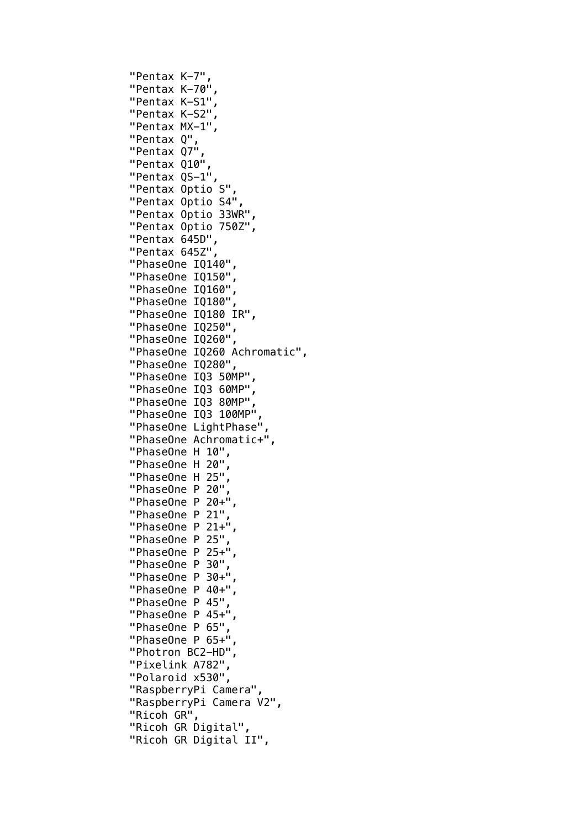```
"Pentax K-7",
"Pentax K-70",
"Pentax K-S1",
"Pentax K-S2",
"Pentax MX-1",
"Pentax Q",
"Pentax Q7",
"Pentax Q10",
"Pentax QS-1",
"Pentax Optio S",
"Pentax Optio S4",
"Pentax Optio 33WR",
"Pentax Optio 750Z",
"Pentax 645D",
"Pentax 645Z",
"PhaseOne IQ140",
"PhaseOne IQ150",
"PhaseOne IQ160"
"PhaseOne IQ180",
"PhaseOne IQ180 IR",
"PhaseOne IQ250",
"PhaseOne IQ260",
"PhaseOne IQ260 Achromatic",
"PhaseOne IQ280",
"PhaseOne IQ3 50MP",
"PhaseOne IQ3 60MP",
"PhaseOne IQ3 80MP",
"PhaseOne IQ3 100MP",
"PhaseOne LightPhase",
"PhaseOne Achromatic+",
"PhaseOne H 10",
"PhaseOne H 20",
"PhaseOne H 25",
"PhaseOne P 20",
"PhaseOne P 20+",
"PhaseOne P 21",
"PhaseOne P 21+",
"PhaseOne P 25",
"PhaseOne P 25+",
"PhaseOne P 30",
"PhaseOne P 30+",
"PhaseOne P 40+"
"PhaseOne P 45",
"Phase0ne P 45+"
"PhaseOne P 65",
"Phase0ne P 65+"
"Photron BC2-HD",
"Pixelink A782",
"Polaroid x530",
"RaspberryPi Camera",
"RaspberryPi Camera V2",
"Ricoh GR",
"Ricoh GR Digital",
"Ricoh GR Digital II",
```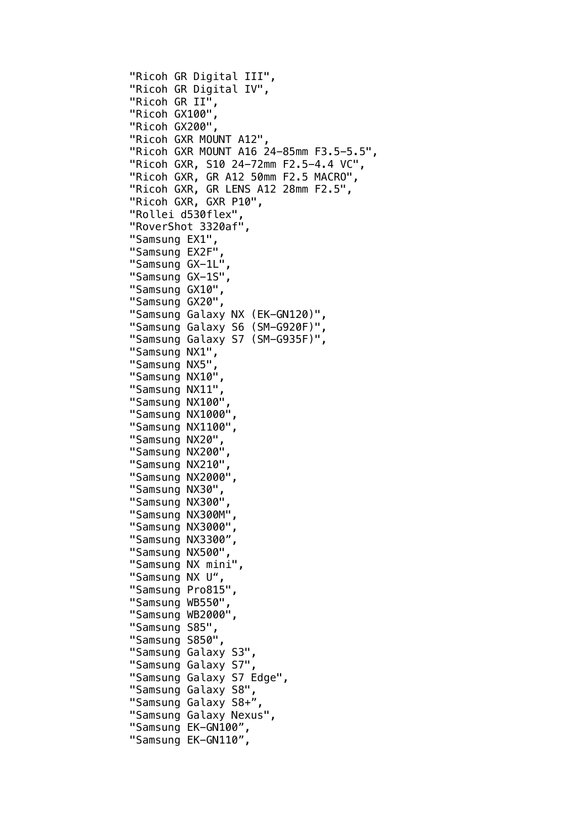```
"Ricoh GR Digital III",
"Ricoh GR Digital IV",
"Ricoh GR II",
"Ricoh GX100",
"Ricoh GX200",
"Ricoh GXR MOUNT A12",
"Ricoh GXR MOUNT A16 24-85mm F3.5-5.5",
"Ricoh GXR, S10 24-72mm F2.5-4.4 VC",
"Ricoh GXR, GR A12 50mm F2.5 MACRO",
"Ricoh GXR, GR LENS A12 28mm F2.5",
"Ricoh GXR, GXR P10",
"Rollei d530flex",
"RoverShot 3320af",
"Samsung EX1",
"Samsung EX2F",
"Samsung GX-1L",
"Samsung GX-1S",
"Samsung GX10",
"Samsung GX20",
"Samsung Galaxy NX (EK-GN120)",
"Samsung Galaxy S6 (SM-G920F)"
"Samsung Galaxy S7 (SM-G935F)",
"Samsung NX1",
"Samsung NX5",
"Samsung NX10",
"Samsung NX11",
"Samsung NX100",
"Samsung NX1000",
"Samsung NX1100",
"Samsung NX20",
"Samsung NX200",
"Samsung NX210",
"Samsung NX2000",
"Samsung NX30",
"Samsung NX300",
"Samsung NX300M",
"Samsung NX3000",
"Samsung NX3300",
"Samsung NX500",
"Samsung NX mini",
"Samsung NX U",
"Samsung Pro815",
"Samsung WB550",
"Samsung WB2000",
"Samsung S85",
"Samsung S850",
"Samsung Galaxy S3",
"Samsung Galaxy S7",
"Samsung Galaxy S7 Edge",
"Samsung Galaxy S8",
"Samsung Galaxy S8+",
"Samsung Galaxy Nexus",
"Samsung EK-GN100",
"Samsung EK-GN110",
```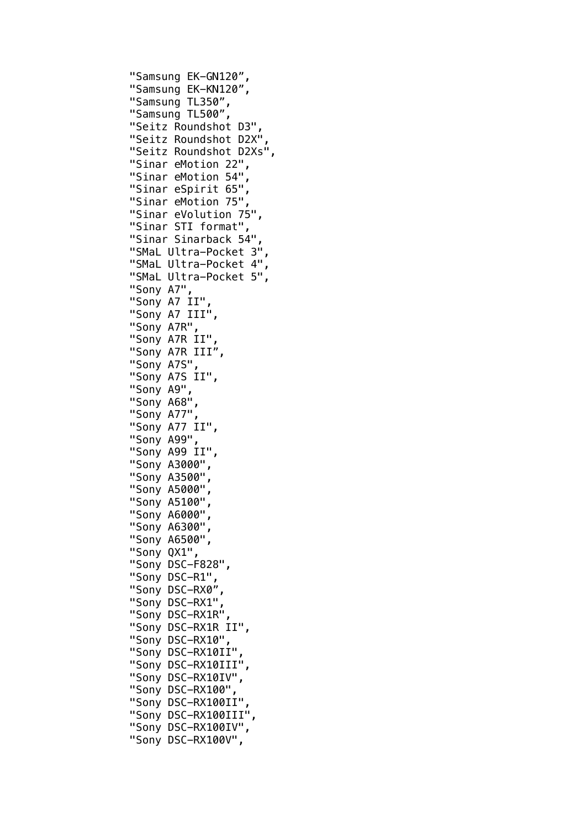"Samsung EK-GN120", "Samsung EK-KN120", "Samsung TL350", "Samsung TL500", "Seitz Roundshot D3", "Seitz Roundshot D2X", "Seitz Roundshot D2Xs", "Sinar eMotion 22", "Sinar eMotion 54", "Sinar eSpirit 65", "Sinar eMotion 75", "Sinar eVolution 75", "Sinar STI format", "Sinar Sinarback 54", "SMaL Ultra-Pocket 3", "SMaL Ultra-Pocket 4", "SMaL Ultra-Pocket 5", "Sony A7", "Sony A7 II", "Sony A7 III", "Sony A7R", "Sony A7R II", "Sony A7R III", "Sony A7S", "Sony A7S II", "Sony A9", "Sony A68", "Sony A77", "Sony A77 II", "Sony A99", "Sony A99 II", "Sony A3000", "Sony A3500", "Sony A5000", "Sony A5100", "Sony A6000", "Sony A6300", "Sony A6500", "Sony QX1", "Sony DSC-F828", "Sony DSC-R1", "Sony DSC-RX0" "Sony DSC-RX1", "Sony DSC-RX1R", "Sony DSC-RX1R II", "Sony DSC-RX10", "Sony DSC-RX10II", "Sony DSC-RX10III", "Sony DSC-RX10IV", "Sony DSC-RX100", "Sony DSC-RX100II", "Sony DSC-RX100III", "Sony DSC-RX100IV", "Sony DSC-RX100V",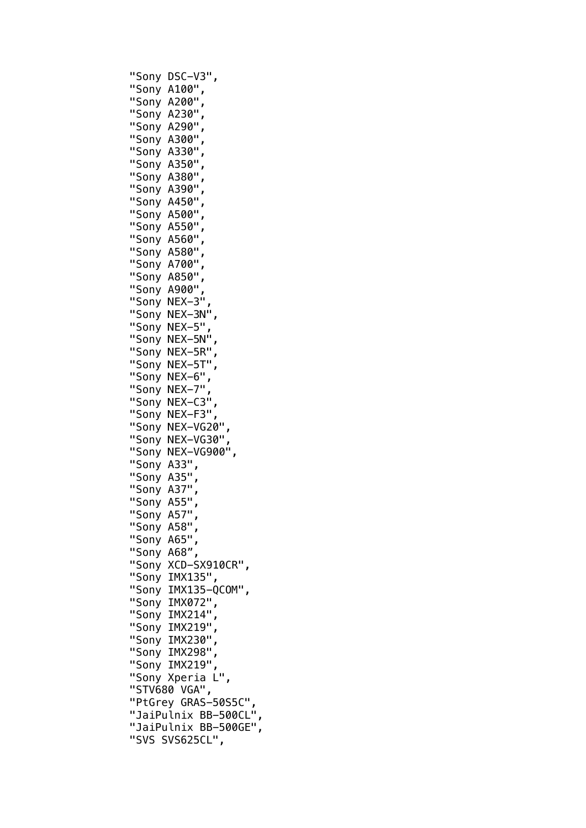"Sony DSC-V3", "Sony A100", "Sony A200", "Sony A230", "Sony A290", "Sony A300", "Sony A330", "Sony A350", "Sony A380", "Sony A390", "Sony A450" "Sony A500", "Sony A550", "Sony A560", "Sony A580", "Sony A700", "Sony A850", "Sony A900", "Sony NEX-3" "Sony NEX-3N", "Sony NEX-5", "Sony NEX-5N" "Sony NEX-5R" "Sony NEX-5T", "Sony NEX-6", "Sony NEX-7", "Sony NEX-C3" "Sony NEX-F3", "Sony NEX-VG20", "Sony NEX-VG30", "Sony NEX-VG900", "Sony A33", "Sony A35", "Sony A37", "Sony A55" "Sony A57" "Sony A58" "Sony A65", "Sony A68", "Sony XCD-SX910CR", "Sony IMX135", "Sony IMX135-QCOM", "Sony IMX072", "Sony IMX214", "Sony IMX219", "Sony IMX230", "Sony IMX298", "Sony IMX219", "Sony Xperia L", "STV680 VGA", "PtGrey GRAS-50S5C", "JaiPulnix BB-500CL", "JaiPulnix BB-500GE", "SVS SVS625CL",